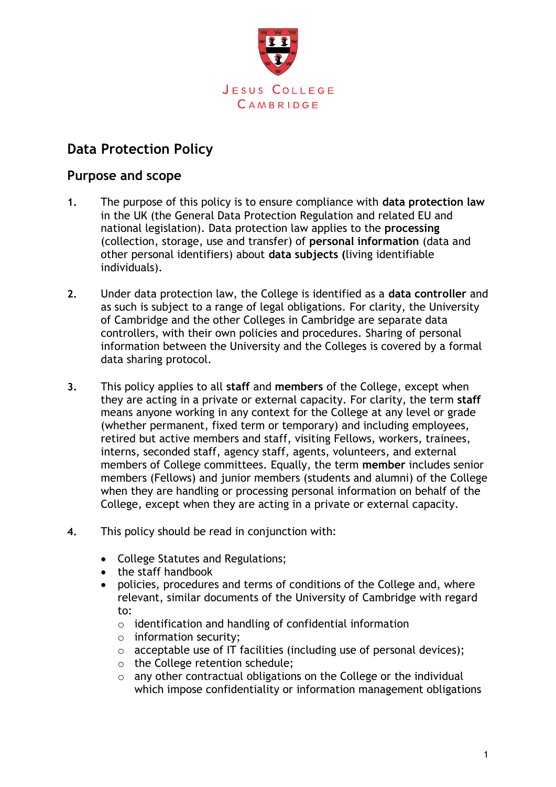

# **Data Protection Policy**

#### **Purpose and scope**

- **1.** The purpose of this policy is to ensure compliance with **data protection law** in the UK (the General Data Protection Regulation and related EU and national legislation). Data protection law applies to the **processing**  (collection, storage, use and transfer) of **personal information** (data and other personal identifiers) about **data subjects (**living identifiable individuals).
- **2.** Under data protection law, the College is identified as a **data controller** and as such is subject to a range of legal obligations. For clarity, the University of Cambridge and the other Colleges in Cambridge are separate data controllers, with their own policies and procedures. Sharing of personal information between the University and the Colleges is covered by a formal data sharing protocol.
- **3.** This policy applies to all **staff** and **members** of the College, except when they are acting in a private or external capacity. For clarity, the term **staff**  means anyone working in any context for the College at any level or grade (whether permanent, fixed term or temporary) and including employees, retired but active members and staff, visiting Fellows, workers, trainees, interns, seconded staff, agency staff, agents, volunteers, and external members of College committees. Equally, the term **member** includes senior members (Fellows) and junior members (students and alumni) of the College when they are handling or processing personal information on behalf of the College, except when they are acting in a private or external capacity.
- **4.** This policy should be read in conjunction with:
	- College Statutes and Regulations;
	- the staff handbook
	- policies, procedures and terms of conditions of the College and, where relevant, similar documents of the University of Cambridge with regard to:
		- o identification and handling of confidential information
		- o information security;
		- $\circ$  acceptable use of IT facilities (including use of personal devices);
		- o the College retention schedule;
		- o any other contractual obligations on the College or the individual which impose confidentiality or information management obligations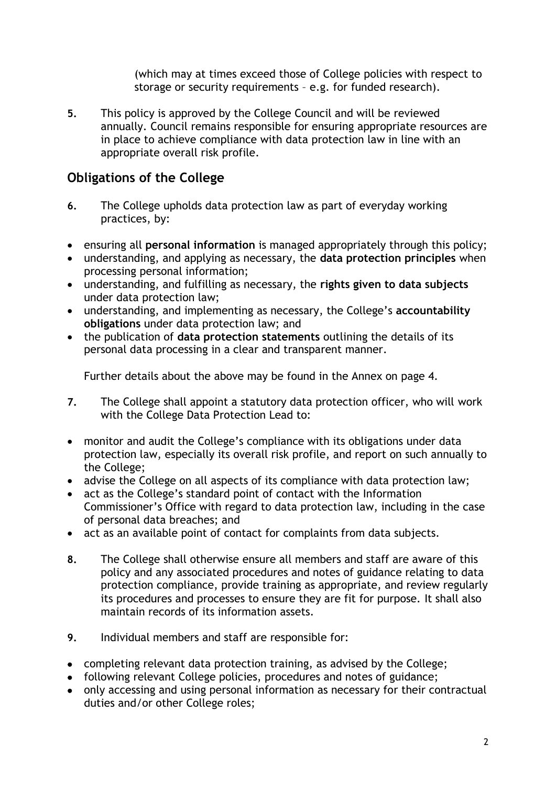(which may at times exceed those of College policies with respect to storage or security requirements – e.g. for funded research).

**5.** This policy is approved by the College Council and will be reviewed annually. Council remains responsible for ensuring appropriate resources are in place to achieve compliance with data protection law in line with an appropriate overall risk profile.

### **Obligations of the College**

- **6.** The College upholds data protection law as part of everyday working practices, by:
- ensuring all **personal information** is managed appropriately through this policy;
- understanding, and applying as necessary, the **data protection principles** when processing personal information;
- understanding, and fulfilling as necessary, the **rights given to data subjects** under data protection law;
- understanding, and implementing as necessary, the College's **accountability obligations** under data protection law; and
- the publication of **data protection statements** outlining the details of its personal data processing in a clear and transparent manner.

Further details about the above may be found in the Annex on page 4.

- **7.** The College shall appoint a statutory data protection officer, who will work with the College Data Protection Lead to:
- monitor and audit the College's compliance with its obligations under data protection law, especially its overall risk profile, and report on such annually to the College;
- advise the College on all aspects of its compliance with data protection law;
- act as the College's standard point of contact with the Information Commissioner's Office with regard to data protection law, including in the case of personal data breaches; and
- act as an available point of contact for complaints from data subjects.
- **8.** The College shall otherwise ensure all members and staff are aware of this policy and any associated procedures and notes of guidance relating to data protection compliance, provide training as appropriate, and review regularly its procedures and processes to ensure they are fit for purpose. It shall also maintain records of its information assets.
- **9.** Individual members and staff are responsible for:
- completing relevant data protection training, as advised by the College;
- following relevant College policies, procedures and notes of guidance;
- only accessing and using personal information as necessary for their contractual duties and/or other College roles;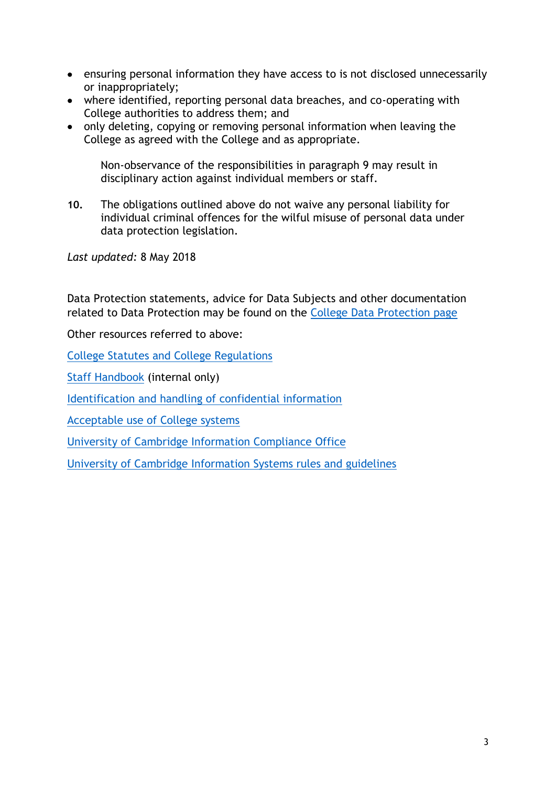- ensuring personal information they have access to is not disclosed unnecessarily or inappropriately;
- where identified, reporting personal data breaches, and co-operating with College authorities to address them; and
- only deleting, copying or removing personal information when leaving the College as agreed with the College and as appropriate.

Non-observance of the responsibilities in paragraph 9 may result in disciplinary action against individual members or staff.

**10.** The obligations outlined above do not waive any personal liability for individual criminal offences for the wilful misuse of personal data under data protection legislation.

*Last updated:* 8 May 2018

Data Protection statements, advice for Data Subjects and other documentation related to Data Protection may be found on the [College Data Protection page](https://www.jesus.cam.ac.uk/college/about-us/data-protection)

Other resources referred to above:

[College Statutes and College Regulations](https://www.jesus.cam.ac.uk/college/about-us/freedom-information-and-publication-scheme/our-constitution-legal-framework-and)

[Staff Handbook](https://jnet.jesus.cam.ac.uk/jnet/staff/hr-information/staff-handbook) (internal only)

[Identification and handling of confidential information](https://www.jesus.cam.ac.uk/sites/default/files/inline/files/Identification%20and%20Handling%20of%20Confidential%20Information.pdf)

[Acceptable use of College systems](https://www.jesus.cam.ac.uk/sites/default/files/inline/files/Acceptable%20use%20of%20College%20Systems.pdf)

University [of Cambridge Information Compliance Office](https://www.information-compliance.admin.cam.ac.uk/)

[University of Cambridge Information Systems rules and guidelines](https://www.uis.cam.ac.uk/about-us/governance/information-services-committee/rules-and-guidelines)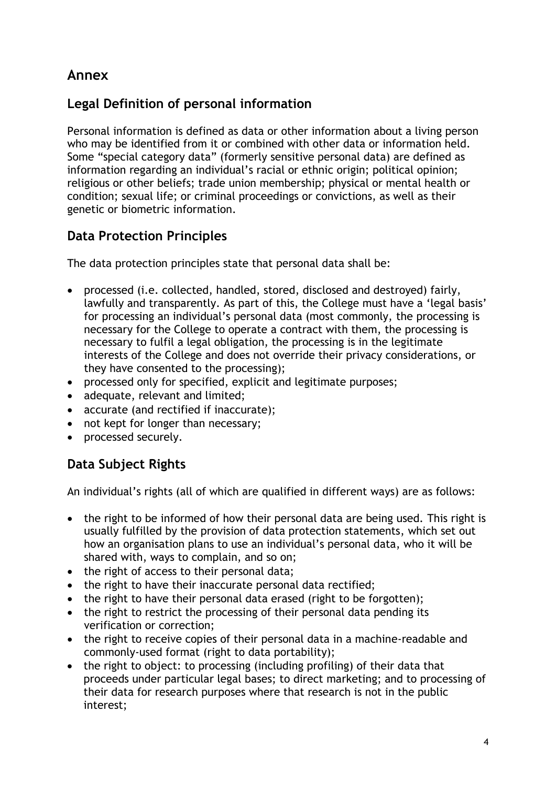# **Annex**

## **Legal Definition of personal information**

Personal information is defined as data or other information about a living person who may be identified from it or combined with other data or information held. Some "special category data" (formerly sensitive personal data) are defined as information regarding an individual's racial or ethnic origin; political opinion; religious or other beliefs; trade union membership; physical or mental health or condition; sexual life; or criminal proceedings or convictions, as well as their genetic or biometric information.

## **Data Protection Principles**

The data protection principles state that personal data shall be:

- processed (i.e. collected, handled, stored, disclosed and destroyed) fairly, lawfully and transparently. As part of this, the College must have a 'legal basis' for processing an individual's personal data (most commonly, the processing is necessary for the College to operate a contract with them, the processing is necessary to fulfil a legal obligation, the processing is in the legitimate interests of the College and does not override their privacy considerations, or they have consented to the processing);
- processed only for specified, explicit and legitimate purposes;
- adequate, relevant and limited;
- accurate (and rectified if inaccurate);
- not kept for longer than necessary;
- processed securely.

# **Data Subject Rights**

An individual's rights (all of which are qualified in different ways) are as follows:

- the right to be informed of how their personal data are being used. This right is usually fulfilled by the provision of data protection statements, which set out how an organisation plans to use an individual's personal data, who it will be shared with, ways to complain, and so on;
- the right of access to their personal data;
- the right to have their inaccurate personal data rectified;
- the right to have their personal data erased (right to be forgotten);
- the right to restrict the processing of their personal data pending its verification or correction;
- the right to receive copies of their personal data in a machine-readable and commonly-used format (right to data portability);
- the right to object: to processing (including profiling) of their data that proceeds under particular legal bases; to direct marketing; and to processing of their data for research purposes where that research is not in the public interest;